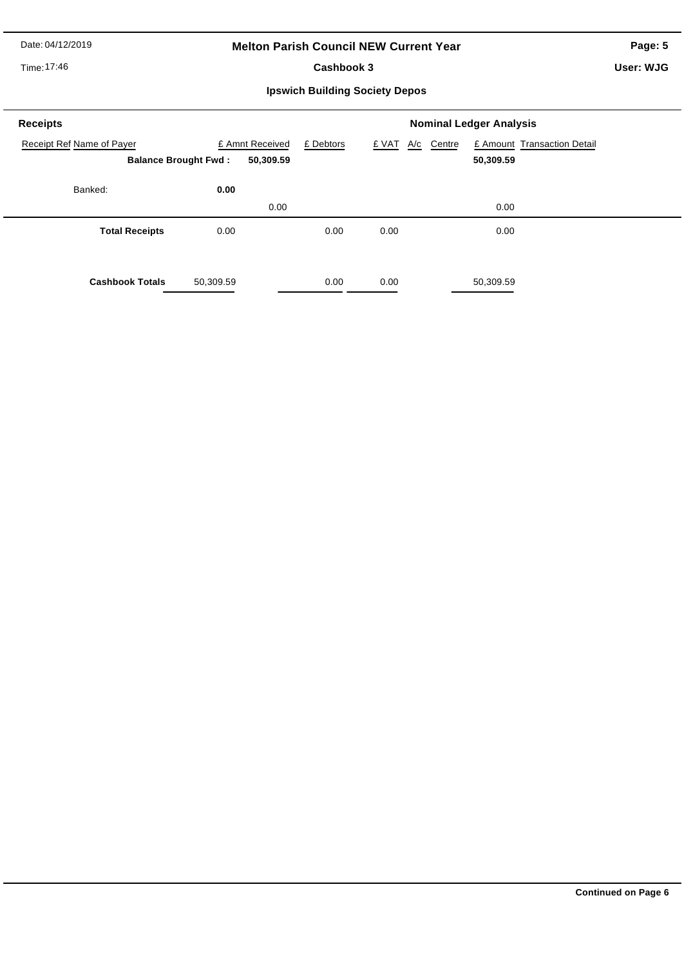Date: 04/12/2019

## **Melton Parish Council NEW Current Year**

Time: 17:46

Cashbook 3

**Page: 5**

**User: WJG**

**Ipswich Building Society Depos**

| <b>Receipts</b>                                          |           | <b>Nominal Ledger Analysis</b> |           |       |            |                                          |  |  |
|----------------------------------------------------------|-----------|--------------------------------|-----------|-------|------------|------------------------------------------|--|--|
| Receipt Ref Name of Payer<br><b>Balance Brought Fwd:</b> |           | £ Amnt Received<br>50,309.59   | £ Debtors | £ VAT | A/c Centre | £ Amount Transaction Detail<br>50,309.59 |  |  |
| Banked:                                                  | 0.00      | 0.00                           |           |       |            | 0.00                                     |  |  |
| <b>Total Receipts</b>                                    | 0.00      |                                | 0.00      | 0.00  |            | 0.00                                     |  |  |
| <b>Cashbook Totals</b>                                   | 50,309.59 |                                | 0.00      | 0.00  |            | 50,309.59                                |  |  |